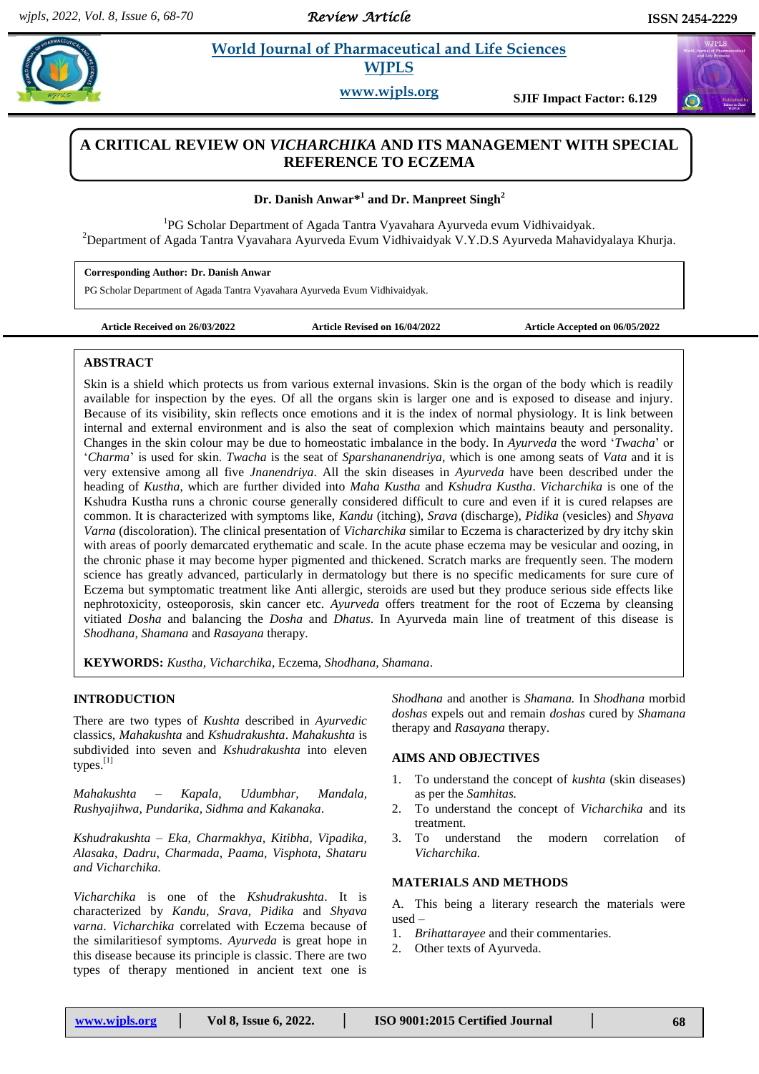*Review Article* 

# **Paramaceutical and Life Sciences WJPLS**

**www.wjpls.org SJIF Impact Factor: 6.129**

## **A CRITICAL REVIEW ON** *VICHARCHIKA* **AND ITS MANAGEMENT WITH SPECIAL REFERENCE TO ECZEMA**

**Dr. Danish Anwar\* 1 and Dr. Manpreet Singh<sup>2</sup>**

<sup>1</sup>PG Scholar Department of Agada Tantra Vyavahara Ayurveda evum Vidhivaidyak. <sup>2</sup>Department of Agada Tantra Vyavahara Ayurveda Evum Vidhivaidyak V.Y.D.S Ayurveda Mahavidyalaya Khurja.

**Corresponding Author: Dr. Danish Anwar**

PG Scholar Department of Agada Tantra Vyavahara Ayurveda Evum Vidhivaidyak.

**Article Received on 26/03/2022 Article Revised on 16/04/2022 Article Accepted on 06/05/2022**

## **ABSTRACT**

Skin is a shield which protects us from various external invasions. Skin is the organ of the body which is readily available for inspection by the eyes. Of all the organs skin is larger one and is exposed to disease and injury. Because of its visibility, skin reflects once emotions and it is the index of normal physiology. It is link between internal and external environment and is also the seat of complexion which maintains beauty and personality. Changes in the skin colour may be due to homeostatic imbalance in the body. In *Ayurveda* the word '*Twacha*' or '*Charma*' is used for skin. *Twacha* is the seat of *Sparshananendriya*, which is one among seats of *Vata* and it is very extensive among all five *Jnanendriya*. All the skin diseases in *Ayurveda* have been described under the heading of *Kustha*, which are further divided into *Maha Kustha* and *Kshudra Kustha*. *Vicharchika* is one of the Kshudra Kustha runs a chronic course generally considered difficult to cure and even if it is cured relapses are common. It is characterized with symptoms like, *Kandu* (itching), *Srava* (discharge), *Pidika* (vesicles) and *Shyava Varna* (discoloration). The clinical presentation of *Vicharchika* similar to Eczema is characterized by dry itchy skin with areas of poorly demarcated erythematic and scale. In the acute phase eczema may be vesicular and oozing, in the chronic phase it may become hyper pigmented and thickened. Scratch marks are frequently seen. The modern science has greatly advanced, particularly in dermatology but there is no specific medicaments for sure cure of Eczema but symptomatic treatment like Anti allergic, steroids are used but they produce serious side effects like nephrotoxicity, osteoporosis, skin cancer etc. *Ayurveda* offers treatment for the root of Eczema by cleansing vitiated *Dosha* and balancing the *Dosha* and *Dhatus*. In Ayurveda main line of treatment of this disease is *Shodhana, Shamana* and *Rasayana* therapy.

**KEYWORDS:** *Kustha, Vicharchika*, Eczema, *Shodhana, Shamana*.

## **INTRODUCTION**

There are two types of *Kushta* described in *Ayurvedic* classics, *Mahakushta* and *Kshudrakushta*. *Mahakushta* is subdivided into seven and *Kshudrakushta* into eleven types.[1]

*Mahakushta – Kapala, Udumbhar, Mandala, Rushyajihwa, Pundarika, Sidhma and Kakanaka.*

*Kshudrakushta – Eka, Charmakhya, Kitibha, Vipadika, Alasaka, Dadru, Charmada, Paama, Visphota, Shataru and Vicharchika.* 

*Vicharchika* is one of the *Kshudrakushta*. It is characterized by *Kandu, Srava, Pidika* and *Shyava varna*. *Vicharchika* correlated with Eczema because of the similaritiesof symptoms. *Ayurveda* is great hope in this disease because its principle is classic. There are two types of therapy mentioned in ancient text one is

*Shodhana* and another is *Shamana.* In *Shodhana* morbid *doshas* expels out and remain *doshas* cured by *Shamana*  therapy and *Rasayana* therapy.

## **AIMS AND OBJECTIVES**

- 1. To understand the concept of *kushta* (skin diseases) as per the *Samhitas.*
- 2. To understand the concept of *Vicharchika* and its treatment.
- 3. To understand the modern correlation of *Vicharchika.*

#### **MATERIALS AND METHODS**

A. This being a literary research the materials were used –

- 1. *Brihattarayee* and their commentaries.
- 2. Other texts of Ayurveda.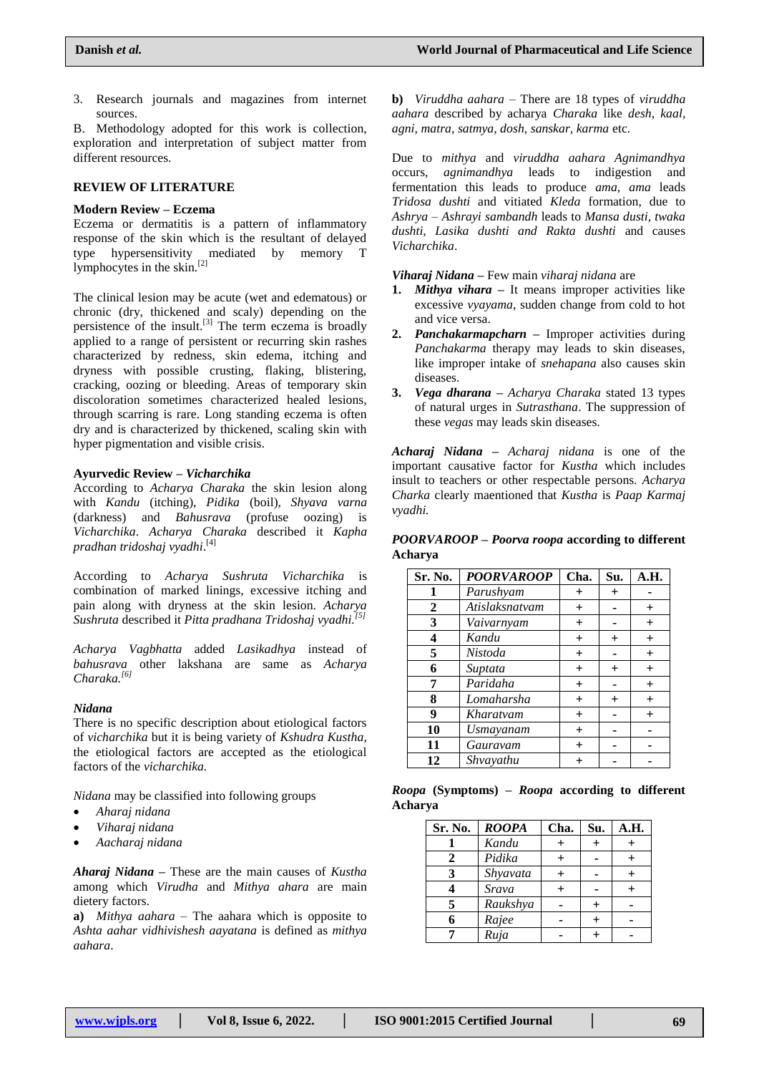3. Research journals and magazines from internet sources.

B. Methodology adopted for this work is collection, exploration and interpretation of subject matter from different resources.

## **REVIEW OF LITERATURE**

#### **Modern Review – Eczema**

Eczema or dermatitis is a pattern of inflammatory response of the skin which is the resultant of delayed type hypersensitivity mediated by memory T lymphocytes in the skin.<sup>[2]</sup>

The clinical lesion may be acute (wet and edematous) or chronic (dry, thickened and scaly) depending on the persistence of the insult.<sup>[3]</sup> The term eczema is broadly applied to a range of persistent or recurring skin rashes characterized by redness, skin edema, itching and dryness with possible crusting, flaking, blistering, cracking, oozing or bleeding. Areas of temporary skin discoloration sometimes characterized healed lesions, through scarring is rare. Long standing eczema is often dry and is characterized by thickened, scaling skin with hyper pigmentation and visible crisis.

## **Ayurvedic Review –** *Vicharchika*

According to *Acharya Charaka* the skin lesion along with *Kandu* (itching), *Pidika* (boil), *Shyava varna* (darkness) and *Bahusrava* (profuse oozing) is *Vicharchika*. *Acharya Charaka* described it *Kapha pradhan tridoshaj vyadhi*. [4]

According to *Acharya Sushruta Vicharchika* is combination of marked linings, excessive itching and pain along with dryness at the skin lesion. *Acharya Sushruta* described it *Pitta pradhana Tridoshaj vyadhi.[5]*

*Acharya Vagbhatta* added *Lasikadhya* instead of *bahusrava* other lakshana are same as *Acharya Charaka.[6]*

#### *Nidana*

There is no specific description about etiological factors of *vicharchika* but it is being variety of *Kshudra Kustha,* the etiological factors are accepted as the etiological factors of the *vicharchika.*

*Nidana* may be classified into following groups

- *Aharaj nidana*
- *Viharaj nidana*
- *Aacharaj nidana*

*Aharaj Nidana* **–** These are the main causes of *Kustha* among which *Virudha* and *Mithya ahara* are main dietery factors.

**a)** *Mithya aahara* – The aahara which is opposite to *Ashta aahar vidhivishesh aayatana* is defined as *mithya aahara*.

**b)** *Viruddha aahara* – There are 18 types of *viruddha aahara* described by acharya *Charaka* like *desh, kaal, agni, matra, satmya, dosh, sanskar, karma* etc.

Due to *mithya* and *viruddha aahara Agnimandhya* occurs, *agnimandhya* leads to indigestion and fermentation this leads to produce *ama, ama* leads *Tridosa dushti* and vitiated *Kleda* formation, due to *Ashrya – Ashrayi sambandh* leads to *Mansa dusti, twaka dushti, Lasika dushti and Rakta dushti* and causes *Vicharchika*.

*Viharaj Nidana* **–** Few main *viharaj nidana* are

- **1.** *Mithya vihara* **–** It means improper activities like excessive *vyayama*, sudden change from cold to hot and vice versa.
- **2.** *Panchakarmapcharn* **–** Improper activities during *Panchakarma* therapy may leads to skin diseases, like improper intake of *snehapana* also causes skin diseases.
- **3.** *Vega dharana* **–** *Acharya Charaka* stated 13 types of natural urges in *Sutrasthana*. The suppression of these *vegas* may leads skin diseases.

*Acharaj Nidana* **–** *Acharaj nidana* is one of the important causative factor for *Kustha* which includes insult to teachers or other respectable persons. *Acharya Charka* clearly maentioned that *Kustha* is *Paap Karmaj vyadhi.*

*POORVAROOP* **–** *Poorva roopa* **according to different Acharya**

| Sr. No.      | <b>POORVAROOP</b> | Cha.      | Su.   | А.Н.           |
|--------------|-------------------|-----------|-------|----------------|
| 1            | Parushyam         | $\ddot{}$ | $\pm$ |                |
| $\mathbf{2}$ | Atislaksnatvam    | $+$       |       | $\pm$          |
| 3            | Vaivarnyam        | $^{+}$    |       | $+$            |
| 4            | Kandu             | $\ddot{}$ | $+$   | $+$            |
| 5            | Nistoda           | $\ddot{}$ |       | $+$            |
| 6            | Suptata           | $\ddot{}$ | $\pm$ | $+$            |
| 7            | Paridaha          | $\ddot{}$ |       | $+$            |
| 8            | Lomaharsha        | $\pm$     | $\pm$ | $\overline{+}$ |
| 9            | Kharatvam         | $^{+}$    |       | $\overline{+}$ |
| 10           | <b>Usmayanam</b>  | $^{+}$    |       |                |
| 11           | Gauravam          | $\ddot{}$ |       |                |
| 12           | Shvayathu         | $\pm$     |       |                |

|         | Roopa (Symptoms) – Roopa according to different |  |  |  |
|---------|-------------------------------------------------|--|--|--|
| Acharva |                                                 |  |  |  |

| Sr. No. | <b>ROOPA</b> | Cha. | Su. | A.H. |
|---------|--------------|------|-----|------|
|         | Kandu        |      |     |      |
| 2       | Pidika       |      |     |      |
| 3       | Shyavata     |      |     |      |
|         | Srava        |      |     |      |
| 5       | Raukshya     |      |     |      |
| 6       | Rajee        |      |     |      |
|         | Ruja         |      |     |      |